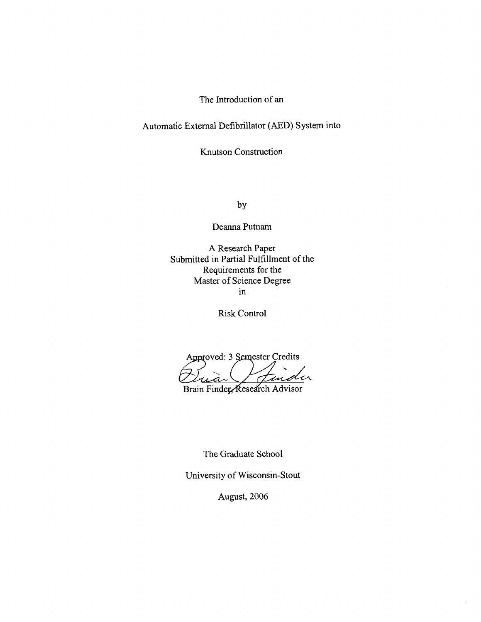The Introduction of an

Automatic External Defibrillator (AED) System into

Knutson Construction

by

Deanna Putnam

A Research Paper Submitted in Partial Fulfillment of the Requirements for the Master of Science Degree in

Risk Control

Approved: 3 Semester Credits '<br>U  $\boldsymbol{a}$ 

Brain Finder Research Advisor

The Graduate School

University of Wisconsin-Stout

August, 2006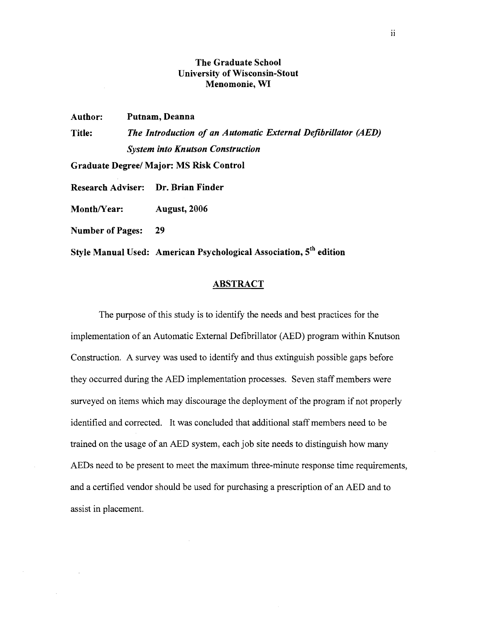## **The Graduate School University of Wisconsin-Stout Menomonie, WI**

**Author: Putnam, Deanna Title:** *The Introduction of an Automatic External Defibrillator (AED) System into Knutson Construction* 

**Graduate Degree/ Major: MS Risk Control** 

**Research Adviser: Dr. Brian Finder** 

Month/Year: **August, 2006** 

**Number of Pages: 29** 

**Style Manual Used: American Psychological Association, 5th edition** 

## **ABSTRACT**

The purpose of this study is to identify the needs and best practices for the implementation of an Automatic External Defibrillator (AED) program within Knutson Construction. A survey was used to identify and thus extinguish possible gaps before they occurred during the AED implementation processes. Seven staff members were surveyed on items which may discourage the deployment of the program if not properly identified and corrected. It was concluded that additional staff members need to be trained on the usage of an AED system, each job site needs to distinguish how many AEDs need to be present to meet the maximum three-minute response time requirements, and a certified vendor should be used for purchasing a prescription of an AED and to assist in placement.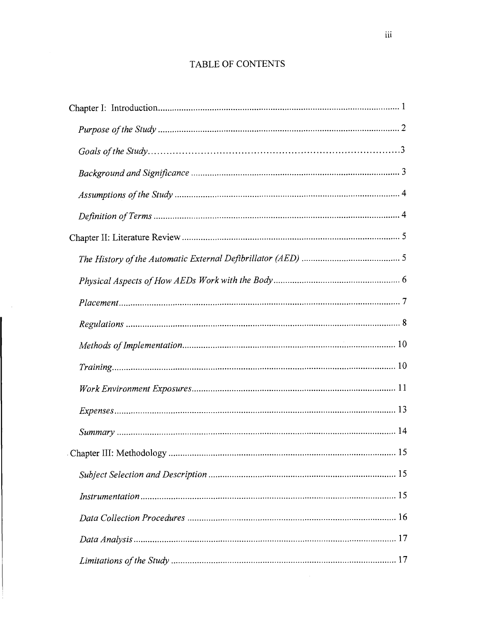# TABLE OF CONTENTS

 $\sim$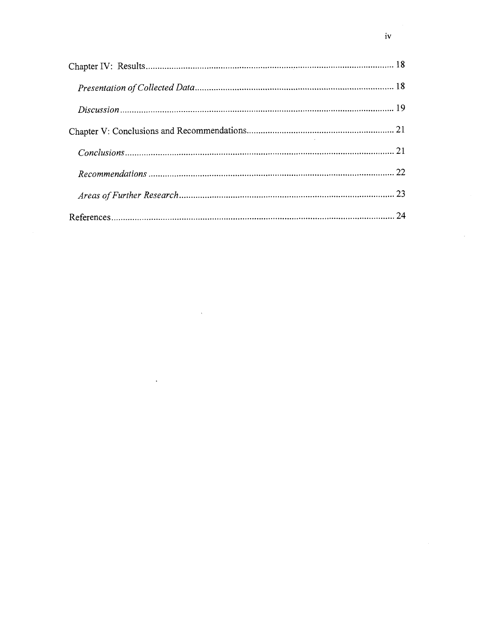$\hat{\mathcal{A}}$ 

 $\ddot{\phantom{a}}$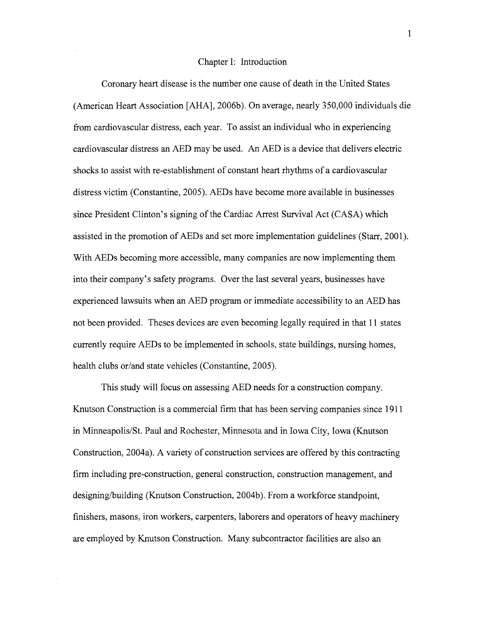#### Chapter I: Introduction

Coronary heart disease is the number one cause of death in the United States (American Heart Association [AHA], 2006b). On average, nearly 350,000 individuals die from cardiovascular distress, each year. To assist an individual who in experiencing cardiovascular distress an AED may be used. An AED is a device that delivers electric shocks to assist with re-establishment of constant heart rhythms of a cardiovascular distress victim (Constantine, 2005). AEDs have become more available in businesses since President Clinton's signing of the Cardiac Arrest Survival Act (CASA) which assisted in the promotion of AEDs and set more implementation guidelines (Starr, 2001). With AEDs becoming more accessible, many companies are now implementing them into their company's safety programs. Over the last several years, businesses have experienced lawsuits when an AED program or immediate accessibility to an AED has not been provided. Theses devices are even becoming legally required in that 11 states currently require AEDs to be implemented in schools, state buildings, nursing homes, health clubs or/and state vehicles (Constantine, 2005).

This study will focus on assessing AED needs for a construction company. Knutson Construction is a commercial firm that has been serving companies since 191 1 in Minneapolis/St. Paul and Rochester, Minnesota and in Iowa City, Iowa (Knutson Construction, 2004a). A variety of construction services are offered by this contracting firm including pre-construction, general construction, construction management, and designing/building (Knutson Construction, 2004b). From a workforce standpoint, finishers, masons, iron workers, carpenters, laborers and operators of heavy machinery are employed by Knutson Construction. Many subcontractor facilities are also an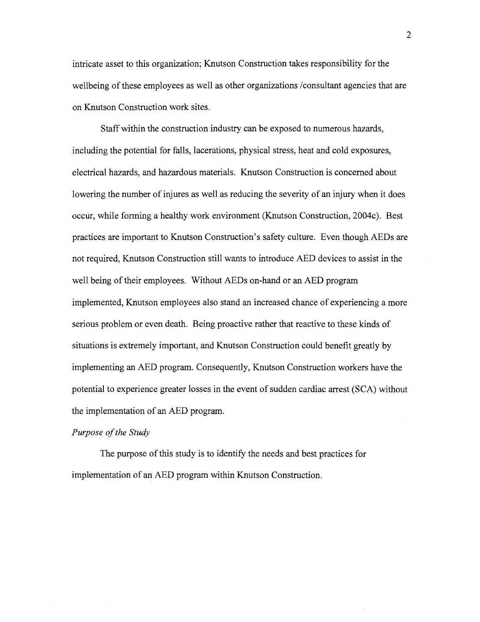intricate asset to this organization; Knutson Construction takes responsibility for the wellbeing of these employees as well as other organizations /consultant agencies that are on Knutson Construction work sites.

Staff within the construction industry can be exposed to numerous hazards, including the potential for falls, lacerations, physical stress, heat and cold exposures, electrical hazards, and hazardous materials. Knutson Construction is concerned about lowering the number of injures as well as reducing the severity of an injury when it does occur, while forming a healthy work environment (Knutson Construction, 2004c). Best practices are important to Knutson Construction's safety culture. Even though AEDs are not required, Knutson Construction still wants to introduce AED devices to assist in the well being of their employees. Without AEDs on-hand or an AED program implemented, Knutson employees also stand an increased chance of experiencing a more serious problem or even death. Being proactive rather that reactive to these kinds of situations is extremely important, and Knutson Construction could benefit greatly by implementing an AED program. Consequently, Knutson Construction workers have the potential to experience greater losses in the event of sudden cardiac arrest (SCA) without the implementation of an AED program.

## *Purpose of the Study*

The purpose of this study is to identify the needs and best practices for implementation of an AED program within Knutson Construction.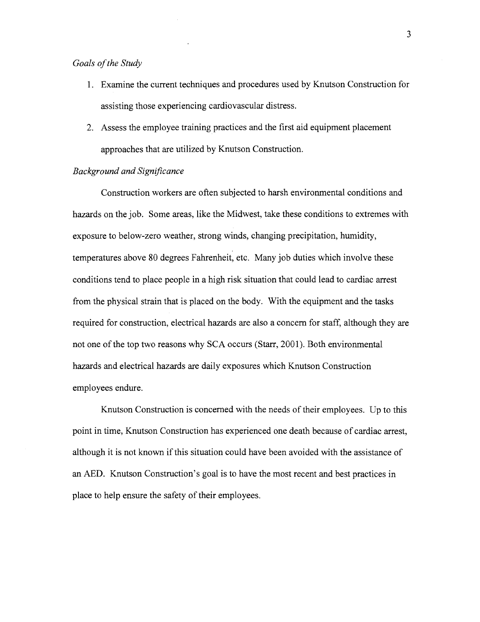## *Goals of the Study*

- 1. Examine the current techniques and procedures used by Knutson Construction for assisting those experiencing cardiovascular distress.
- 2. Assess the employee training practices and the first aid equipment placement approaches that are utilized by Knutson Construction.

## **Background and Significance**

Construction workers are often subjected to harsh environmental conditions and hazards on the job. Some areas, like the Midwest, take these conditions to extremes with exposure to below-zero weather, strong winds, changing precipitation, humidity, temperatures above 80 degrees Fahrenheit, etc. Many job duties which involve these conditions tend to place people in a high risk situation that could lead to cardiac arrest from the physical strain that is placed on the body. With the equipment and the tasks required for construction, electrical hazards are also a concern for staff, although they are not one of the top two reasons why SCA occurs (Starr, 2001). Both environmental hazards and electrical hazards are daily exposures which Knutson Construction employees endure.

Knutson Construction is concerned with the needs of their employees. Up to this point in time, Knutson Construction has experienced one death because of cardiac arrest, although it is not known if this situation could have been avoided with the assistance of an AED. Knutson Construction's goal is to have the most recent and best practices in place to help ensure the safety of their employees.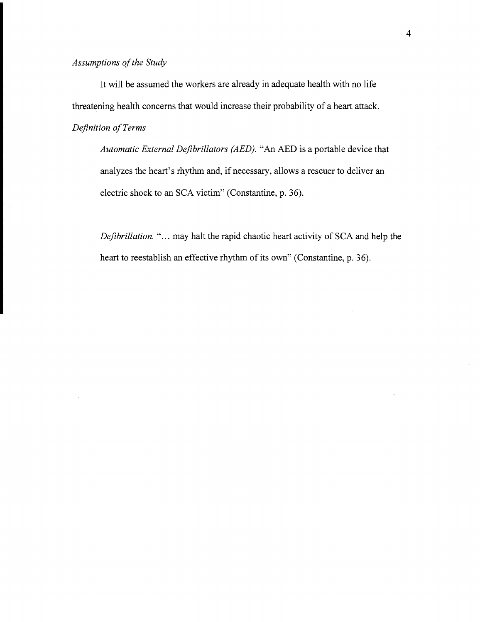It will be assumed the workers are already in adequate health with no life threatening health concerns that would increase their probability of a heart attack. *Definition of Terms* 

*Automatic External Defibrillators (AED). "An* AED is a portable device that analyzes the heart's rhythm and, if necessary, allows a rescuer to deliver an electric shock to an SCA victim" (Constantine, p. 36).

*Defibrillation.* "... may halt the rapid chaotic heart activity of SCA and help the heart to reestablish an effective rhythm of its own" (Constantine, p. 36).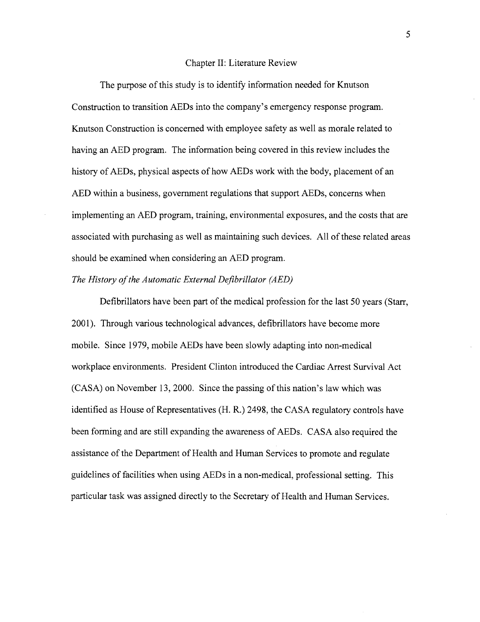#### Chapter 11: Literature Review

The purpose of this study is to identify information needed for Knutson Construction to transition AEDs into the company's emergency response program. Knutson Construction is concerned with employee safety as well as morale related to having an AED program. The information being covered in this review includes the history of AEDs, physical aspects of how AEDs work with the body, placement of an AED within a business, government regulations that support AEDs, concerns when implementing an AED program, training, environmental exposures, and the costs that are associated with purchasing as well as maintaining such devices. All of these related areas should be examined when considering an AED program.

### *The History of the Automatic External Defibrillator (AED)*

Defibrillators have been part of the medical profession for the last 50 years (Starr, 2001). Through various technological advances, defibrillators have become more mobile. Since 1979, mobile AEDs have been slowly adapting into non-medical workplace environments. President Clinton introduced the Cardiac Arrest Survival Act (CASA) on November 13,2000. Since the passing of this nation's law which was identified as House of Representatives (H. R.) 2498, the CASA regulatory controls have been forming and are still expanding the awareness of AEDs. CASA also required the assistance of the Department of Health and Human Services to promote and regulate guidelines of facilities when using AEDs in a non-medical, professional setting. This particular task was assigned directly to the Secretary of Health and Human Services.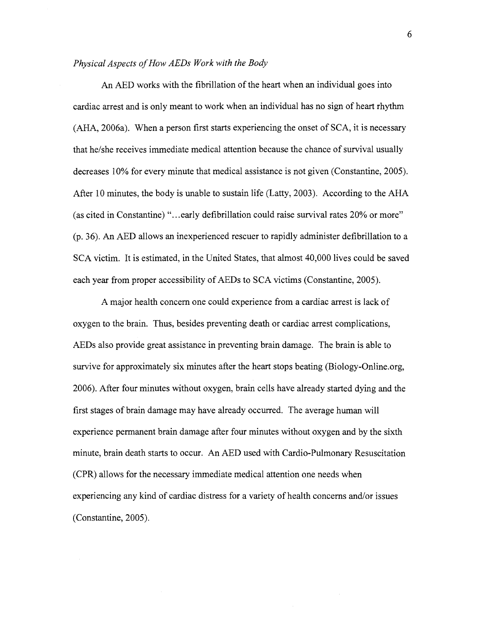### *Physical Aspects of How AEDs Work with the Body*

An AED works with the fibrillation of the heart when an individual goes into cardiac arrest and is only meant to work when an individual has no sign of heart rhythm (AHA, 2006a). When a person first starts experiencing the onset of SCA, it is necessary that he/she receives immediate medical attention because the chance of survival usually decreases 10% for every minute that medical assistance is not given (Constantine, 2005). After 10 minutes, the body is unable to sustain life (Latty, 2003). According to the AHA (as cited in Constantine) "...early defibrillation could raise survival rates 20% or more" (p. 36). An AED allows an inexperienced rescuer to rapidly administer defibrillation to a SCA victim. It is estimated, in the United States, that almost 40,000 lives could be saved each year from proper accessibility of AEDs to SCA victims (Constantine, 2005).

A major health concern one could experience from a cardiac arrest is lack of oxygen to the brain. Thus, besides preventing death or cardiac arrest complications, AEDs also provide great assistance in preventing brain damage. The brain is able to survive for approximately six minutes after the heart stops beating (Biology-Online.org, 2006). After four minutes without oxygen, brain cells have already started dying and the first stages of brain damage may have already occurred. The average human will experience permanent brain damage after four minutes without oxygen and by the sixth minute, brain death starts to occur. An AED used with Cardio-Pulmonary Resuscitation (CPR) allows for the necessary immediate medical attention one needs when experiencing any kind of cardiac distress for a variety of health concerns and/or issues (Constantine, 2005).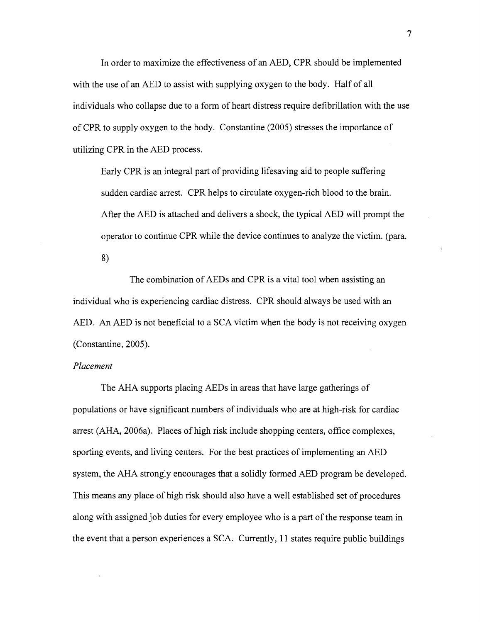In order to maximize the effectiveness of an AED, CPR should be implemented with the use of an AED to assist with supplying oxygen to the body. Half of all individuals who collapse due to a form of heart distress require defibrillation with the use of CPR to supply oxygen to the body. Constantine (2005) stresses the importance of utilizing CPR in the AED process.

Early CPR is an integral part of providing lifesaving aid to people suffering sudden cardiac arrest. CPR helps to circulate oxygen-rich blood to the brain. After the AED is attached and delivers a shock, the typical AED will prompt the operator to continue CPR while the device continues to analyze the victim. (para.

**8)** 

The combination of AEDs and CPR is a vital tool when assisting an individual who is experiencing cardiac distress. CPR should always be used with an AED. An AED is not beneficial to a SCA victim when the body is not receiving oxygen (Constantine, 2005).

## *Placement*

The AHA supports placing AEDs in areas that have large gatherings of populations or have significant numbers of individuals who are at high-risk for cardiac arrest (AHA, 2006a). Places of high risk include shopping centers, office complexes, sporting events, and living centers. For the best practices of implementing an AED system, the AHA strongly encourages that a solidly formed AED program be developed. This means any place of high risk should also have a well established set of procedures along with assigned job duties for every employee who is a part of the response team in the event that a person experiences a SCA. Currently, 11 states require public buildings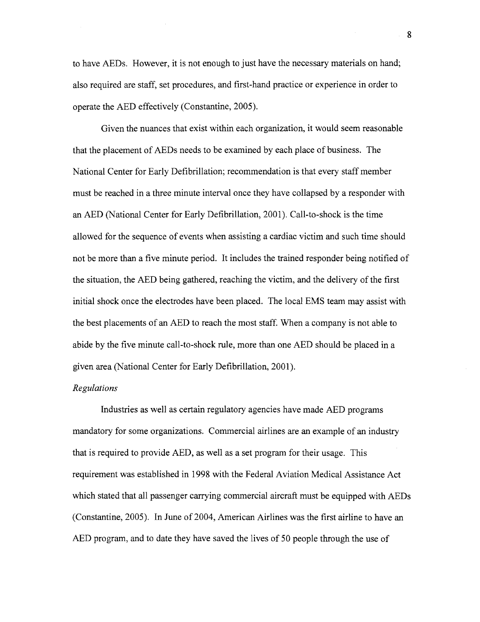to have AEDs. However, it is not enough to just have the necessary materials on hand; also required are staff, set procedures, and first-hand practice or experience in order to operate the AED effectively (Constantine, 2005).

Given the nuances that exist within each organization, it would seem reasonable that the placement of AEDs needs to be examined by each place of business. The National Center for Early Defibrillation; recommendation is that every staff member must be reached in a three minute interval once they have collapsed by a responder with an AED (National Center for Early Defibrillation, 2001). Call-to-shock is the time allowed for the sequence of events when assisting a cardiac victim and such time should not be more than a five minute period. It includes the trained responder being notified of the situation, the AED being gathered, reaching the victim, and the delivery of the first initial shock once the electrodes have been placed. The local EMS team may assist with the best placements of an AED to reach the most staff. When a company is not able to abide by the five minute call-to-shock rule, more than one AED should be placed in a given area (National Center for Early Defibrillation, 2001).

### Regulations

Industries as well as certain regulatory agencies have made AED programs mandatory for some organizations. Commercial airlines are an example of an industry that is required to provide AED, as well as a set program for their usage. This requirement was established in 1998 with the Federal Aviation Medical Assistance Act which stated that all passenger carrying commercial aircraft must be equipped with AEDs (Constantine, 2005). In June of 2004, American Airlines was the first airline to have an AED program, and to date they have saved the lives of 50 people through the use of

 $\mathbf{g}$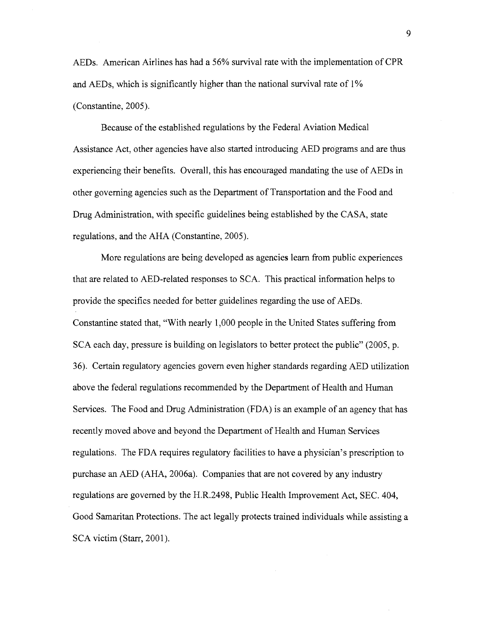AEDs. American Airlines has had a 56% survival rate with the implementation of CPR and AEDs, which is significantly higher than the national survival rate of 1% (Constantine, 2005).

Because of the established regulations by the Federal Aviation Medical Assistance Act, other agencies have also started introducing AED programs and are thus experiencing their benefits. Overall, this has encouraged mandating the use of AEDs in other governing agencies such as the Department of Transportation and the Food and Drug Administration, with specific guidelines being established by the CASA, state regulations, and the AHA (Constantine, 2005).

More regulations are being developed as agencies learn from public experiences that are related to AED-related responses to SCA. This practical information helps to provide the specifics needed for better guidelines regarding the use of AEDs. Constantine stated that, "With nearly 1,000 people in the United States suffering from SCA each day, pressure is building on legislators to better protect the public" (2005, p. 36). Certain regulatory agencies govern even higher standards regarding AED utilization above the federal regulations recommended by the Department of Health and Human Services. The Food and Drug Administration (FDA) is an example of an agency that has recently moved above and beyond the Department of Health and Human Services regulations. The FDA requires regulatory facilities to have a physician's prescription to purchase an AED (AHA, 2006a). Companies that are not covered by any industry regulations are governed by the H.R.2498, Public Health Improvement Act, SEC. 404, Good Samaritan Protections. The act legally protects trained individuals while assisting a SCA victim (Starr, 2001).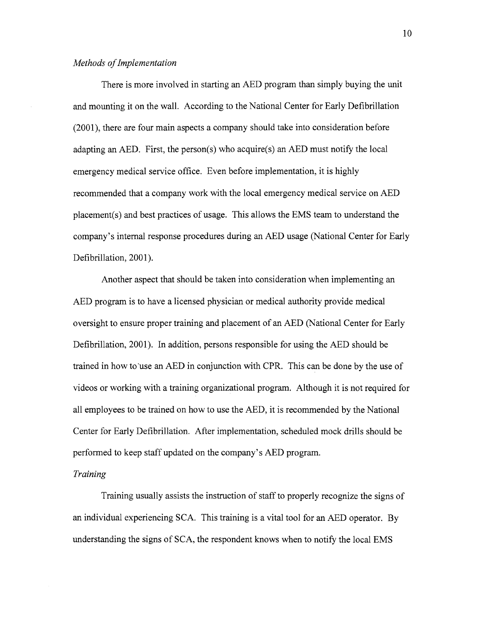## *Methods of Implementation*

There is more involved in starting an AED program than simply buying the unit and mounting it on the wall. According to the National Center for Early Defibrillation  $(2001)$ , there are four main aspects a company should take into consideration before adapting an AED. First, the person(s) who acquire(s) an AED must notify the local emergency medical service office. Even before implementation, it is highly recommended that a company work with the local emergency medical service on AED placement(s) and best practices of usage. This allows the EMS team to understand the company's internal response procedures during an AED usage (National Center for Early Defibrillation, 2001).

Another aspect that should be taken into consideration when implementing an AED program is to have a licensed physician or medical authority provide medical oversight to ensure proper training and placement of an AED (National Center for Early Defibrillation, 2001). In addition, persons responsible for using the AED should be trained in how to'use an AED in conjunction with CPR. This can be done by the use of videos or working with a training organizational program. Although it is not required for all employees to be trained on how to use the AED, it is recommended by the National Center for Early Defibrillation. After implementation, scheduled mock drills should be performed to keep staff updated on the company's AED program.

## *Training*

Training usually assists the instruction of staff to properly recognize the signs of an individual experiencing SCA. This training is a vital tool for an AED operator. By understanding the signs of SCA, the respondent knows when to notify the local EMS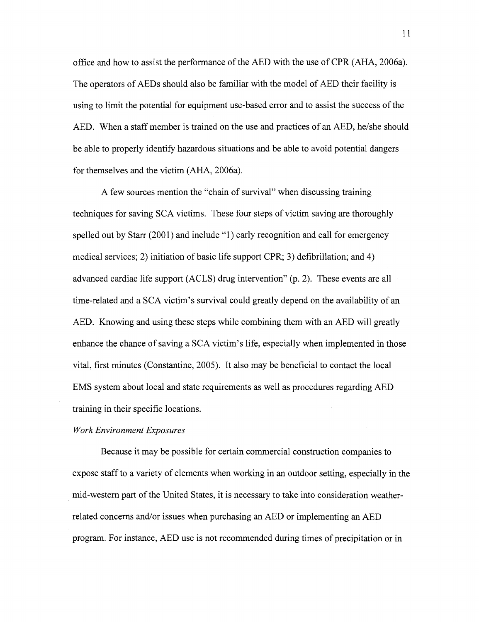office and how to assist the performance of the AED with the use of CPR (AHA, 2006a). The operators of AEDs should also be familiar with the model of AED their facility is using to limit the potential for equipment use-based error and to assist the success of the AED. When a staff member is trained on the use and practices of an AED, he/she should be able to properly identify hazardous situations and be able to avoid potential dangers for themselves and the victim (AHA, 2006a).

A few sources mention the "chain of survival" when discussing training techniques for saving SCA victims. These four steps of victim saving are thoroughly spelled out by Starr (2001) and include "1) early recognition and call for emergency medical services; 2) initiation of basic life support CPR; 3) defibrillation; and 4) advanced cardiac life support (ACLS) drug intervention" (p. 2). These events are all . time-related and a SCA victim's survival could greatly depend on the availability of an AED. Knowing and using these steps while combining them with an AED will greatly enhance the chance of saving a SCA victim's life, especially when implemented in those vital, first minutes (Constantine, 2005). It also may be beneficial to contact the local EMS system about local and state requirements as well as procedures regarding AED training in their specific locations.

## *Work Environment Exposures*

Because it may be possible for certain commercial construction companies to expose staff to a variety of elements when working in an outdoor setting, especially in the mid-westem part of the United States, it is necessary to take into consideration weatherrelated concerns and/or issues when purchasing an AED or implementing an AED program. For instance, AED use is not recommended during times of precipitation or in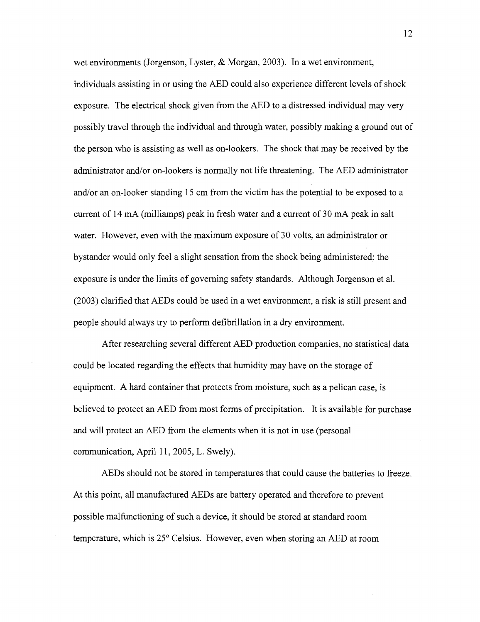wet environments (Jorgenson, Lyster, & Morgan, 2003). In a wet environment, individuals assisting in or using the AED could also experience different levels of shock exposure. The electrical shock given from the AED to a distressed individual may very possibly travel through the individual and through water, possibly making a ground out of the person who is assisting as well as on-lookers. The shock that may be received by the administrator and/or on-lookers is normally not life threatening. The AED administrator and/or an on-looker standing 15 cm from the victim has the potential to be exposed to a current of 14 mA (milliamps) peak in fresh water and a current of 30 mA peak in salt water. However, even with the maximum exposure of 30 volts, an administrator or bystander would only feel a slight sensation from the shock being administered; the exposure is under the limits of governing safety standards. Although Jorgenson et al. (2003) clarified that AEDs could be used in a wet environment, a risk is still present and people should always try to perform defibrillation in a dry environment.

After researching several different AED production companies, no statistical data could be located regarding the effects that humidity may have on the storage of equipment. A hard container that protects from moisture, such as a pelican case, is believed to protect an AED from most forms of precipitation. It is available for purchase and will protect an AED from the elements when it is not in use (personal communication, April 11, 2005, L. Swely).

AEDs should not be stored in temperatures that could cause the batteries to freeze. At this point, all manufactured AEDs are battery operated and therefore to prevent possible malfunctioning of such a device, it should be stored at standard room temperature, which is 25" Celsius. However, even when storing an AED at room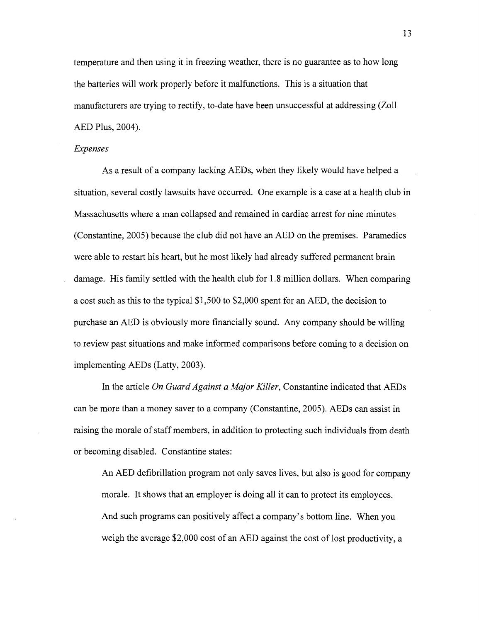temperature and then using it in freezing weather, there is no guarantee as to how long the batteries will work properly before it malfunctions. This is a situation that manufacturers are trying to rectify, to-date have been unsuccessful at addressing (Zoll AED Plus, 2004).

## Expenses

As a result of a company lacking AEDs, when they likely would have helped a situation, several costly lawsuits have occurred. One example is a case at a health club in Massachusetts where a man collapsed and remained in cardiac arrest for nine minutes (Constantine, 2005) because the club did not have an AED on the premises. Paramedics were able to restart his heart, but he most likely had already suffered permanent brain damage. His family settled with the health club for 1.8 million dollars. When comparing a cost such as this to the typical \$1,500 to \$2,000 spent for an AED, the decision to purchase an AED is obviously more financially sound. Any company should be willing to review past situations and make informed comparisons before coming to a decision on implementing AEDs (Latty, 2003).

In the article On Guard Against a Major Killer, Constantine indicated that AEDs can be more than a money saver to a company (Constantine, 2005). AEDs can assist in raising the morale of staff members, in addition to protecting such individuals from death or becoming disabled. Constantine states:

An AED defibrillation program not only saves lives, but also is good for company morale. It shows that an employer is doing all it can to protect its employees. And such programs can positively affect a company's bottom line. When you weigh the average \$2,000 cost of an AED against the cost of lost productivity, a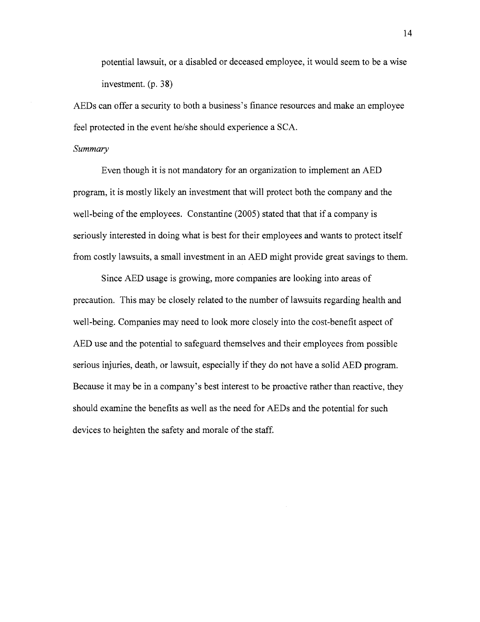potential lawsuit, or a disabled or deceased employee, it would seem to be a wise investment. (p. 38)

AEDs can offer a security to both a business's finance resources and make an employee feel protected in the event he/she should experience a SCA.

### *Summary*

Even though it is not mandatory for an organization to implement an AED program, it is mostly likely an investment that will protect both the company and the well-being of the employees. Constantine (2005) stated that that if a company is seriously interested in doing what is best for their employees and wants to protect itself from costly lawsuits, a small investment in an AED might provide great savings to them.

Since AED usage is growing, more companies are looking into areas of precaution. This may be closely related to the number of lawsuits regarding health and well-being. Companies may need to look more closely into the cost-benefit aspect of AED use and the potential to safeguard themselves and their employees from possible serious injuries, death, or lawsuit, especially if they do not have a solid AED program. Because it may be in a company's best interest to be proactive rather than reactive, they should examine the benefits as well as the need for AEDs and the potential for such devices to heighten the safety and morale of the staff.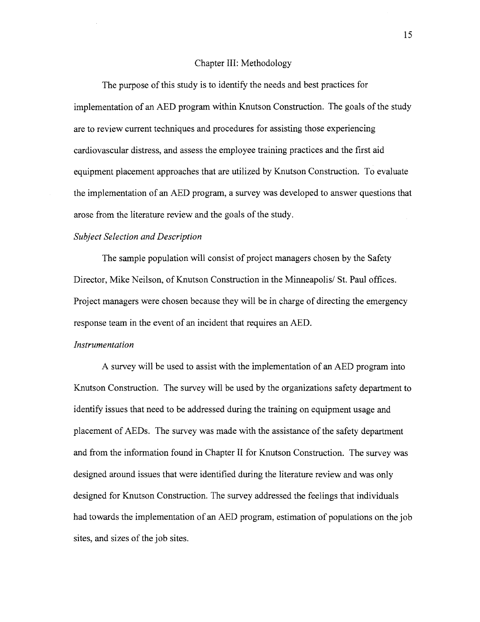#### Chapter 111: Methodology

The purpose of this study is to identify the needs and best practices for implementation of an AED program within Knutson Construction. The goals of the study are to review current techniques and procedures for assisting those experiencing cardiovascular distress, and assess the employee training practices and the first aid equipment placement approaches that are utilized by Knutson Construction. To evaluate the implementation of an AED program, a survey was developed to answer questions that arose from the literature review and the goals of the study.

## *Subject Selection and Description*

The sample population will consist of project managers chosen by the Safety Director, Mike Neilson, of Knutson Construction in the Minneapolis/ St. Paul offices. Project managers were chosen because they will be in charge of directing the emergency response team in the event of an incident that requires an AED.

### *Instrumentation*

A survey will be used to assist with the implementation of an AED program into Knutson Construction. The survey will be used by the organizations safety department to identify issues that need to be addressed during the training on equipment usage and placement of AEDs. The survey was made with the assistance of the safety department and from the information found in Chapter **I1** for Knutson Construction. The survey was designed around issues that were identified during the literature review and was only designed for Knutson Construction. The survey addressed the feelings that individuals had towards the implementation of an AED program, estimation of populations on the job sites, and sizes of the job sites.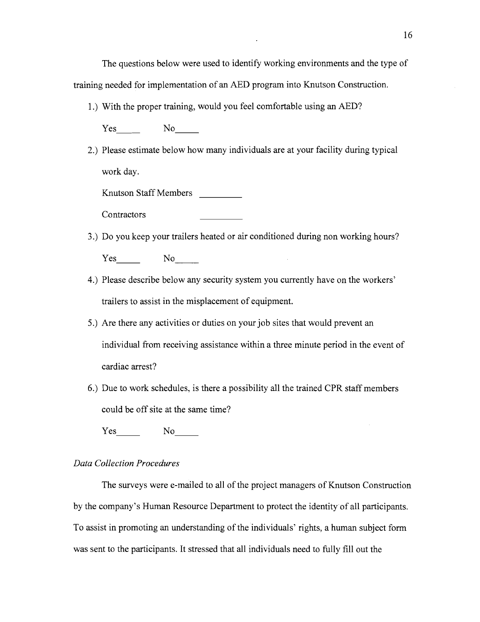The questions below were used to identify working environments and the type of training needed for implementation of an AED program into Knutson Construction.

1 .) With the proper training, would you feel comfortable using an AED?

Yes No<sub>-1</sub>

2.) Please estimate below how many individuals are at your facility during typical work day.

Knutson Staff Members

**Contractors** 

- 3.) Do you keep your trailers heated or air conditioned during non working hours? Yes No
- 4.) Please describe below any security system you currently have on the workers' trailers to assist in the misplacement of equipment.
- **5.)** Are there any activities or duties on your job sites that would prevent an individual from receiving assistance within a three minute period in the event of cardiac arrest?
- 6.) Due to work schedules, is there a possibility all the trained CPR staff members could be off site at the same time?

Yes No

## *Data Collection Procedures*

The surveys were e-mailed to all of the project managers of Knutson Construction by the company's Human Resource Department to protect the identity of all participants. To assist in promoting an understanding of the individuals' rights, a human subject form was sent to the participants. It stressed that all individuals need to fully fill out the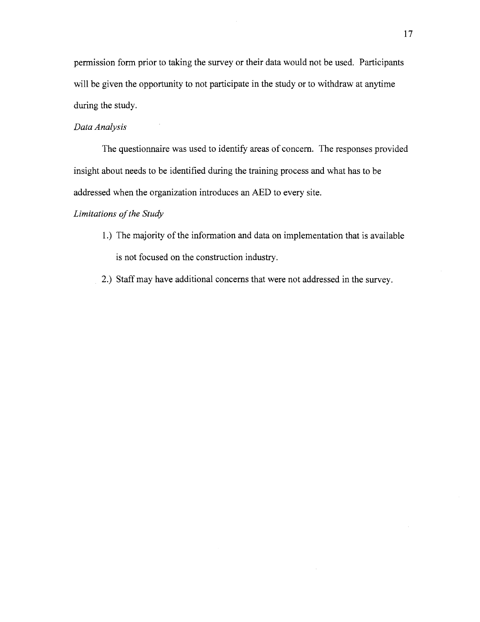permission form prior to taking the survey or their data would not be used. Participants will be given the opportunity to not participate in the study or to withdraw at anytime during the study.

## *Data Analysis*

The questionnaire was used to identify areas of concern. The responses provided insight about needs to be identified during the training process and what has to be addressed when the organization introduces an AED to every site.

## *Limitations of the Study*

- 1 .) The majority of the information and data on implementation that is available is not focused on the construction industry.
- 2.) Staff may have additional concerns that were not addressed in the survey.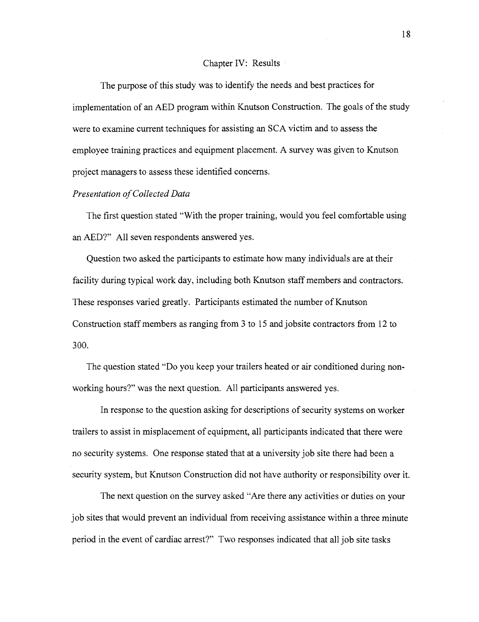#### Chapter IV: Results

The purpose of this study was to identify the needs and best practices for implementation of an AED program within Knutson Construction. The goals of the study were to examine current techniques for assisting an SCA victim and to assess the employee training practices and equipment placement. A survey was given to Knutson project managers to assess these identified concerns.

### *Presentation of Collected Data*

The first question stated "With the proper training, would you feel comfortable using an AED?" All seven respondents answered yes.

Question two asked the participants to estimate how many individuals are at their facility during typical work day, including both Knutson staff members and contractors. These responses varied greatly. Participants estimated the number of Knutson Construction staff members as ranging from **3** to 15 and jobsite contractors from 12 to 300.

The question stated "Do you keep your trailers heated or air conditioned during nonworking hours?" was the next question. All participants answered yes.

In response to the question asking for descriptions of security systems on worker trailers to assist in misplacement of equipment, all participants indicated that there were no security systems. One response stated that at a university job site there had been a security system, but Knutson Construction did not have authority or responsibility over it.

The next question on the survey asked "Are there any activities or duties on your job sites that would prevent an individual from receiving assistance within a three minute period in the event of cardiac arrest?" Two responses indicated that all job site tasks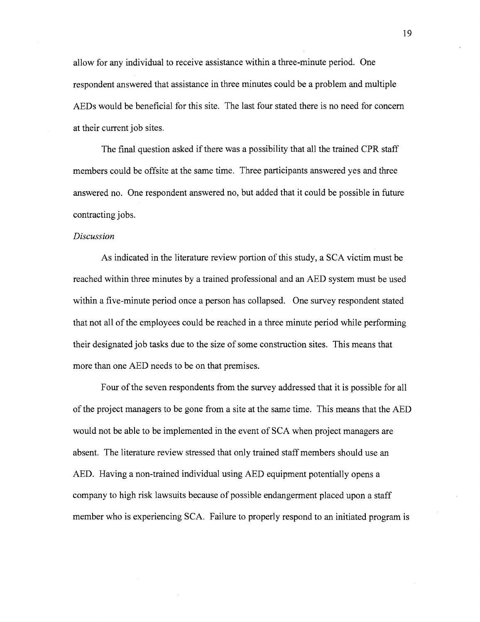allow for any individual to receive assistance within a three-minute period. One respondent answered that assistance in three minutes could be a problem and multiple AEDs would be beneficial for this site. The last four stated there is no need for concern at their current job sites.

The final question asked if there was a possibility that all the trained CPR staff members could be offsite at the same time. Three participants answered yes and three answered no. One respondent answered no, but added that it could be possible in future contracting jobs.

### **Discussion**

As indicated in the literature review portion of this study, a SCA victim must be reached within three minutes by a trained professional and an AED system must be used within a five-minute period once a person has collapsed. One survey respondent stated that not all of the employees could be reached in a three minute period while performing their designated job tasks due to the size of some construction sites. This means that more than one AED needs to be on that premises.

Four of the seven respondents from the survey addressed that it is possible for all of the project managers to be gone from a site at the same time. This means that the AED would not be able to be implemented in the event of SCA when project managers are absent. The literature review stressed that only trained staff members should use an AED. Having a non-trained individual using AED equipment potentially opens a company to high risk lawsuits because of possible endangerment placed upon a staff member who is experiencing SCA. Failure to properly respond to an initiated program is

19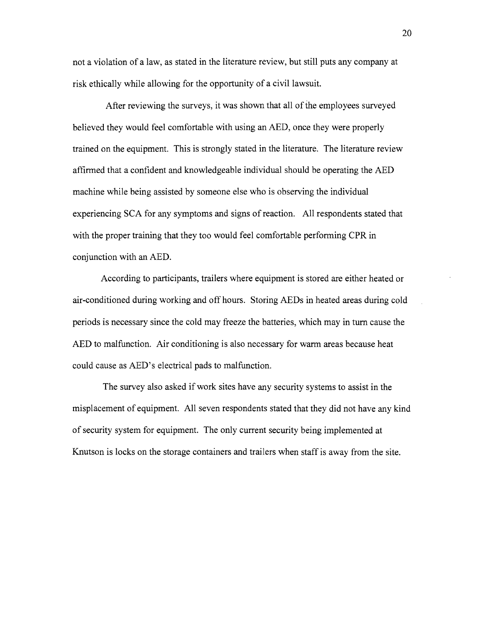not a violation of a law, as stated in the literature review, but still puts any company at risk ethically while allowing for the opportunity of a civil lawsuit.

After reviewing the surveys, it was shown that all of the employees surveyed believed they would feel comfortable with using an AED, once they were properly trained on the equipment. This is strongly stated in the literature. The literature review affirmed that a confident and knowledgeable individual should be operating the AED machine while being assisted by someone else who is observing the individual experiencing SCA for any symptoms and signs of reaction. All respondents stated that with the proper training that they too would feel comfortable performing CPR in conjunction with an AED.

According to participants, trailers where equipment is stored are either heated or air-conditioned during working and off hours. Storing AEDs in heated areas during cold periods is necessary since the cold may freeze the batteries, which may in turn cause the AED to malfunction. Air conditioning is also necessary for warm areas because heat could cause as AED's electrical pads to malfunction.

The survey also asked if work sites have any security systems to assist in the misplacement of equipment. All seven respondents stated that they did not have any kind of security system for equipment. The only current security being implemented at Knutson is locks on the storage containers and trailers when staff is away from the site.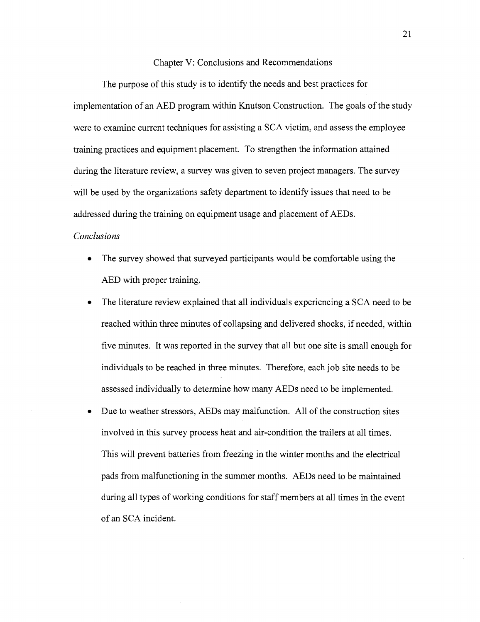#### Chapter V: Conclusions and Recommendations

The purpose of this study is to identify the needs and best practices for implementation of an AED program within Knutson Construction. The goals of the study were to examine current techniques for assisting a SCA victim, and assess the employee training practices and equipment placement. To strengthen the information attained during the literature review, a survey was given to seven project managers. The survey will be used by the organizations safety department to identify issues that need to be addressed during the training on equipment usage and placement of AEDs.

## *Conclusions*

- The survey showed that surveyed participants would be comfortable using the AED with proper training.
- $\bullet$ The literature review explained that all individuals experiencing a SCA need to be reached within three minutes of collapsing and delivered shocks, if needed, within five minutes. It was reported in the survey that all but one site is small enough for individuals to be reached in three minutes. Therefore, each job site needs to be assessed individually to determine how many AEDs need to be implemented.
- Due to weather stressors, AEDs may malfunction. All of the construction sites  $\bullet$ involved in this survey process heat and air-condition the trailers at all times. This will prevent batteries fiom fieezing in the winter months and the electrical pads from malfunctioning in the summer months. AEDs need to be maintained during all types of working conditions for staff members at all times in the event of an SCA incident.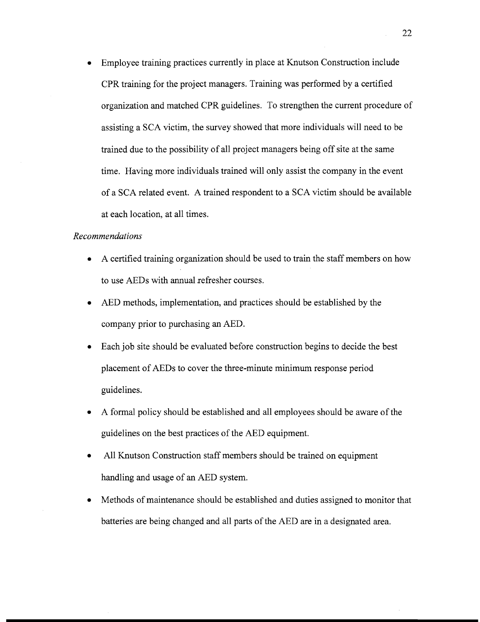Employee training practices currently in place at Knutson Construction include CPR training for the project managers. Training was performed by a certified organization and matched CPR guidelines. To strengthen the current procedure of assisting a SCA victim, the survey showed that more individuals will need to be trained due to the possibility of all project managers being off site at the same time. Having more individuals trained will only assist the company in the event of a SCA related event. A trained respondent to a SCA victim should be available at each location, at all times.

## *Recommendations*

- A certified training organization should be used to train the staff members on how to use AEDs with annual refresher courses.
- AED methods, implementation, and practices should be established by the company prior to purchasing an AED.
- Each job site should be evaluated before construction begins to decide the best placement of AEDs to cover the three-minute minimum response period guidelines.
- A formal policy should be established and all employees should be aware of the guidelines on the best practices of the AED equipment.
- All Knutson Construction staff members should be trained on equipment handling and usage of an AED system.
- Methods of maintenance should be established and duties assigned to monitor that batteries are being changed and all parts of the AED are in a designated area.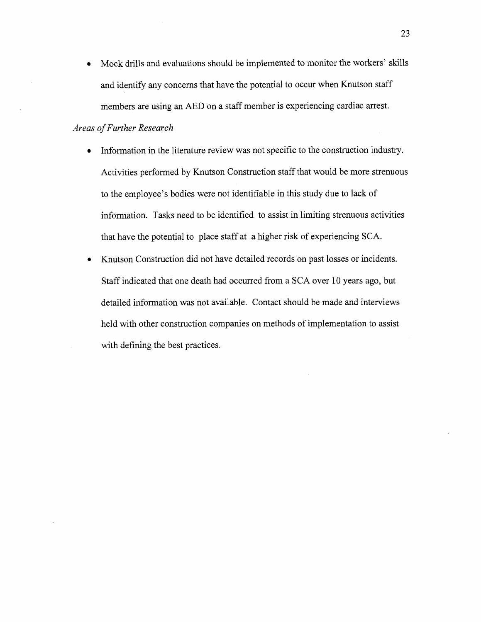Mock drills and evaluations should be implemented to monitor the workers' skills  $\bullet$ and identify any concerns that have the potential to occur when Knutson staff members are using an AED on a staff member is experiencing cardiac arrest.

# *Areas of Further Research*

- Information in the literature review was not specific to the construction industry.  $\bullet$ Activities performed by Knutson Construction staff that would be more strenuous to the employee's bodies were not identifiable in this study due to lack of information. Tasks need to be identified to assist in limiting strenuous activities that have the potential to place staff at a higher risk of experiencing SCA.
- Knutson Construction did not have detailed records on past losses or incidents.  $\bullet$ Staff indicated that one death had occurred from a SCA over 10 years ago, but detailed information was not available. Contact should be made and interviews held with other construction companies on methods of implementation to assist with defining the best practices.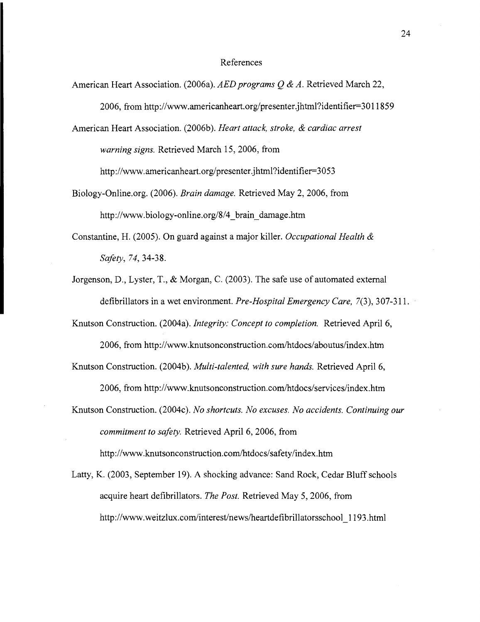#### References

- American Heart Association. (2006a). *AED programs Q & A*. Retrieved March 22, 2006, from http://www.americanheart.org/presenter.jhtml?identifier=3011859 American Heart Association. (2006b). *Heart attack, stroke,* & *cardiac arrest warning signs.* Retrieved March 15,2006, from **http://www.americanheart.org/presenter.jhtml?identifier=3O53**
- Biology-0nline.org. (2006). *Brain damage.* Retrieved May 2, 2006, from http **://www.biology-online.org/8/4-brain-damage-htm**
- Constantine, H. (2005). On guard against a major killer. *Occupational Health* & *Safety, 74,* 34-38.
- Jorgenson, D., Lyster, T., & Morgan, C. (2003). The safe use of automated external defibrillators in a wet environment. *Pre-Hospital Emergency Care,* 7(3), 307-3 1 1.

Knutson Construction. (2004a). *Integrity: Concept to completion.* Retrieved April 6, 2006, from http://www.knutsonconstruction.com/htdocs/aboutus/index.htm

Knutson Construction. (2004b). *Multi-talented, with sure hands.* Retrieved April 6, 2006, from http://www.knutsonconstruction.com/htdocs/services/index.htm

Knutson Construction. (2004c). *No shortcuts. No excuses. No accidents. Continuing our commitment to safety.* Retrieved April 6,2006, from http://www.knutsonconstruction.com/htdocs/safety/index.htm

Latty, K. (2003, September 19). A shocking advance: Sand Rock, Cedar Bluff schools acquire heart defibrillators. *The Post.* Retrieved May 5,2006, from http://www.weitzlux.com/interest/news/heartdefibrillatorsschool 1193.html